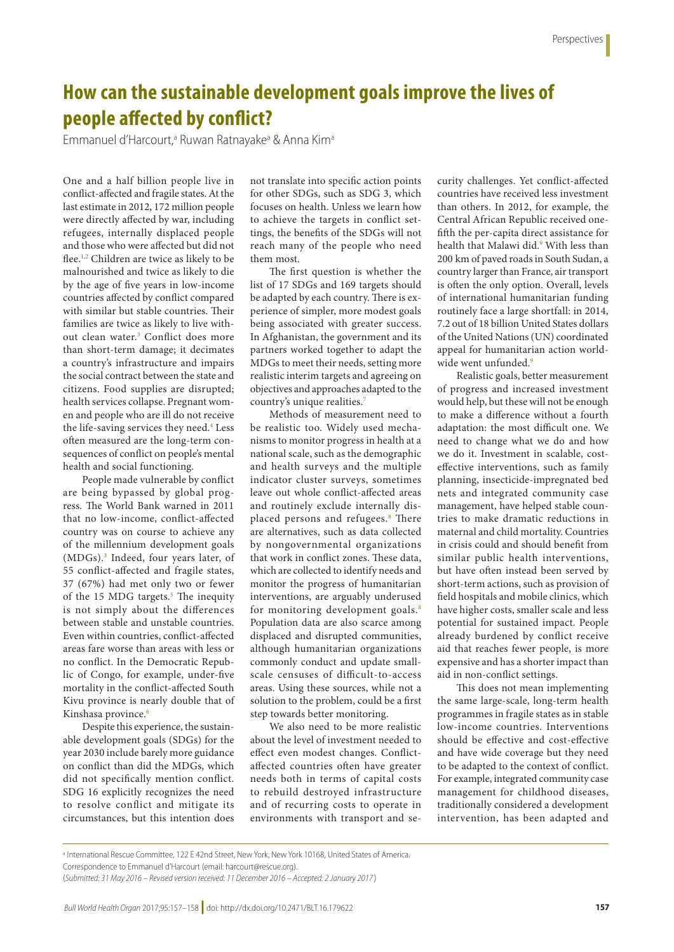## **How can the sustainable development goals improve the lives of people affected by conflict?**

Emmanuel d'Harcourt,<sup>a</sup> Ruwan Ratnayake<sup>a</sup> & Anna Kim<sup>a</sup>

One and a half billion people live in conflict-affected and fragile states. At the last estimate in 2012, 172 million people were directly affected by war, including refugees, internally displaced people and those who were affected but did not flee.1,2 Children are twice as likely to be malnourished and twice as likely to die by the age of five years in low-income countries affected by conflict compared with similar but stable countries. Their families are twice as likely to live without clean water.<sup>3</sup> Conflict does more than short-term damage; it decimates a country's infrastructure and impairs the social contract between the state and citizens. Food supplies are disrupted; health services collapse. Pregnant women and people who are ill do not receive the life-saving services they need.4 Less often measured are the long-term consequences of conflict on people's mental health and social functioning.

People made vulnerable by conflict are being bypassed by global progress. The World Bank warned in 2011 that no low-income, conflict-affected country was on course to achieve any of the millennium development goals (MDGs).3 Indeed, four years later, of 55 conflict-affected and fragile states, 37 (67%) had met only two or fewer of the 15 MDG targets.<sup>5</sup> The inequity is not simply about the differences between stable and unstable countries. Even within countries, conflict-affected areas fare worse than areas with less or no conflict. In the Democratic Republic of Congo, for example, under-five mortality in the conflict-affected South Kivu province is nearly double that of Kinshasa province.<sup>6</sup>

Despite this experience, the sustainable development goals (SDGs) for the year 2030 include barely more guidance on conflict than did the MDGs, which did not specifically mention conflict. SDG 16 explicitly recognizes the need to resolve conflict and mitigate its circumstances, but this intention does

not translate into specific action points for other SDGs, such as SDG 3, which focuses on health. Unless we learn how to achieve the targets in conflict settings, the benefits of the SDGs will not reach many of the people who need them most.

The first question is whether the list of 17 SDGs and 169 targets should be adapted by each country. There is experience of simpler, more modest goals being associated with greater success. In Afghanistan, the government and its partners worked together to adapt the MDGs to meet their needs, setting more realistic interim targets and agreeing on objectives and approaches adapted to the country's unique realities.<sup>7</sup>

Methods of measurement need to be realistic too. Widely used mechanisms to monitor progress in health at a national scale, such as the demographic and health surveys and the multiple indicator cluster surveys, sometimes leave out whole conflict-affected areas and routinely exclude internally displaced persons and refugees.<sup>8</sup> There are alternatives, such as data collected by nongovernmental organizations that work in conflict zones. These data, which are collected to identify needs and monitor the progress of humanitarian interventions, are arguably underused for monitoring development goals.<sup>8</sup> Population data are also scarce among displaced and disrupted communities, although humanitarian organizations commonly conduct and update smallscale censuses of difficult-to-access areas. Using these sources, while not a solution to the problem, could be a first step towards better monitoring.

We also need to be more realistic about the level of investment needed to effect even modest changes. Conflictaffected countries often have greater needs both in terms of capital costs to rebuild destroyed infrastructure and of recurring costs to operate in environments with transport and security challenges. Yet conflict-affected countries have received less investment than others. In 2012, for example, the Central African Republic received onefifth the per-capita direct assistance for health that Malawi did.<sup>9</sup> With less than 200 km of paved roads in South Sudan, a country larger than France, air transport is often the only option. Overall, levels of international humanitarian funding routinely face a large shortfall: in 2014, 7.2 out of 18 billion United States dollars of the United Nations (UN) coordinated appeal for humanitarian action worldwide went unfunded.<sup>9</sup>

Realistic goals, better measurement of progress and increased investment would help, but these will not be enough to make a difference without a fourth adaptation: the most difficult one. We need to change what we do and how we do it. Investment in scalable, costeffective interventions, such as family planning, insecticide-impregnated bed nets and integrated community case management, have helped stable countries to make dramatic reductions in maternal and child mortality. Countries in crisis could and should benefit from similar public health interventions, but have often instead been served by short-term actions, such as provision of field hospitals and mobile clinics, which have higher costs, smaller scale and less potential for sustained impact. People already burdened by conflict receive aid that reaches fewer people, is more expensive and has a shorter impact than aid in non-conflict settings.

This does not mean implementing the same large-scale, long-term health programmes in fragile states as in stable low-income countries. Interventions should be effective and cost-effective and have wide coverage but they need to be adapted to the context of conflict. For example, integrated community case management for childhood diseases, traditionally considered a development intervention, has been adapted and

a International Rescue Committee, 122 E 42nd Street, New York, New York 10168, United States of America.

Correspondence to Emmanuel d'Harcourt (email: harcourt@rescue.org).

<sup>(</sup>*Submitted: 31 May 2016 – Revised version received: 11 December 2016 – Accepted: 2 January 2017* )